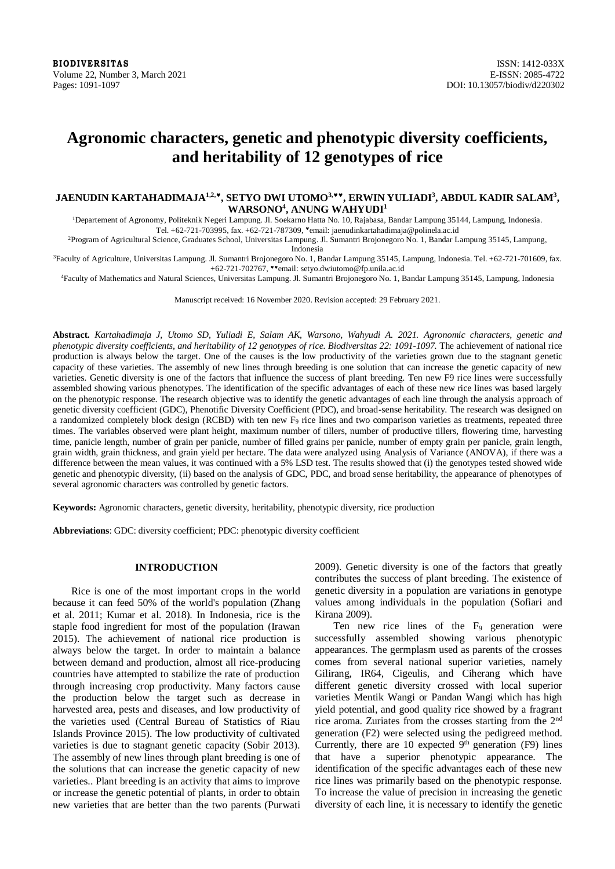# **Agronomic characters, genetic and phenotypic diversity coefficients, and heritability of 12 genotypes of rice**

# **JAENUDIN KARTAHADIMAJA1,2,, SETYO DWI UTOMO3,, ERWIN YULIADI<sup>3</sup> , ABDUL KADIR SALAM<sup>3</sup> , WARSONO<sup>4</sup> , ANUNG WAHYUDI<sup>1</sup>**

<sup>1</sup>Departement of Agronomy, Politeknik Negeri Lampung. Jl. Soekarno Hatta No. 10, Rajabasa, Bandar Lampung 35144, Lampung, Indonesia. Tel. +62-721-703995, fax. +62-721-787309, email[: jaenudinkartahadimaja@polinela.ac.id](mailto:jaenudinkartahadimaja@polinela.ac.id)

<sup>2</sup>Program of Agricultural Science, Graduates School, Universitas Lampung. Jl. Sumantri Brojonegoro No. 1, Bandar Lampung 35145, Lampung,

Indonesia

<sup>3</sup>Faculty of Agriculture, Universitas Lampung. Jl. Sumantri Brojonegoro No. 1, Bandar Lampung 35145, Lampung, Indonesia. Tel. +62-721-701609, fax. +62-721-702767, email[: setyo.dwiutomo@fp.unila.ac.id](mailto:setyo.dwiutomo@fp.unila.ac.id)

<sup>4</sup>Faculty of Mathematics and Natural Sciences, Universitas Lampung. Jl. Sumantri Brojonegoro No. 1, Bandar Lampung 35145, Lampung, Indonesia

Manuscript received: 16 November 2020. Revision accepted: 29 February 2021.

**Abstract.** *Kartahadimaja J, Utomo SD, Yuliadi E, Salam AK, Warsono, Wahyudi A. 2021. Agronomic characters, genetic and phenotypic diversity coefficients, and heritability of 12 genotypes of rice. Biodiversitas 22: 1091-1097.* The achievement of national rice production is always below the target. One of the causes is the low productivity of the varieties grown due to the stagnant genetic capacity of these varieties. The assembly of new lines through breeding is one solution that can increase the genetic capacity of new varieties. Genetic diversity is one of the factors that influence the success of plant breeding. Ten new F9 rice lines were successfully assembled showing various phenotypes. The identification of the specific advantages of each of these new rice lines was based largely on the phenotypic response. The research objective was to identify the genetic advantages of each line through the analysis approach of genetic diversity coefficient (GDC), Phenotific Diversity Coefficient (PDC), and broad-sense heritability. The research was designed on a randomized completely block design (RCBD) with ten new F9 rice lines and two comparison varieties as treatments, repeated three times. The variables observed were plant height, maximum number of tillers, number of productive tillers, flowering time, harvesting time, panicle length, number of grain per panicle, number of filled grains per panicle, number of empty grain per panicle, grain length, grain width, grain thickness, and grain yield per hectare. The data were analyzed using Analysis of Variance (ANOVA), if there was a difference between the mean values, it was continued with a 5% LSD test. The results showed that (i) the genotypes tested showed wide genetic and phenotypic diversity, (ii) based on the analysis of GDC, PDC, and broad sense heritability, the appearance of phenotypes of several agronomic characters was controlled by genetic factors.

**Keywords:** Agronomic characters, genetic diversity, heritability, phenotypic diversity, rice production

**Abbreviations**: GDC: diversity coefficient; PDC: phenotypic diversity coefficient

#### **INTRODUCTION**

Rice is one of the most important crops in the world because it can feed 50% of the world's population (Zhang et al. 2011; Kumar et al. 2018). In Indonesia, rice is the staple food ingredient for most of the population (Irawan 2015). The achievement of national rice production is always below the target. In order to maintain a balance between demand and production, almost all rice-producing countries have attempted to stabilize the rate of production through increasing crop productivity. Many factors cause the production below the target such as decrease in harvested area, pests and diseases, and low productivity of the varieties used (Central Bureau of Statistics of Riau Islands Province 2015). The low productivity of cultivated varieties is due to stagnant genetic capacity (Sobir 2013). The assembly of new lines through plant breeding is one of the solutions that can increase the genetic capacity of new varieties.. Plant breeding is an activity that aims to improve or increase the genetic potential of plants, in order to obtain new varieties that are better than the two parents (Purwati 2009). Genetic diversity is one of the factors that greatly contributes the success of plant breeding. The existence of genetic diversity in a population are variations in genotype values among individuals in the population (Sofiari and Kirana 2009).

Ten new rice lines of the  $F_9$  generation were successfully assembled showing various phenotypic appearances. The germplasm used as parents of the crosses comes from several national superior varieties, namely Gilirang, IR64, Cigeulis, and Ciherang which have different genetic diversity crossed with local superior varieties Mentik Wangi or Pandan Wangi which has high yield potential, and good quality rice showed by a fragrant rice aroma. Zuriates from the crosses starting from the 2nd generation (F2) were selected using the pedigreed method. Currently, there are 10 expected  $9<sup>th</sup>$  generation (F9) lines that have a superior phenotypic appearance. The identification of the specific advantages each of these new rice lines was primarily based on the phenotypic response. To increase the value of precision in increasing the genetic diversity of each line, it is necessary to identify the genetic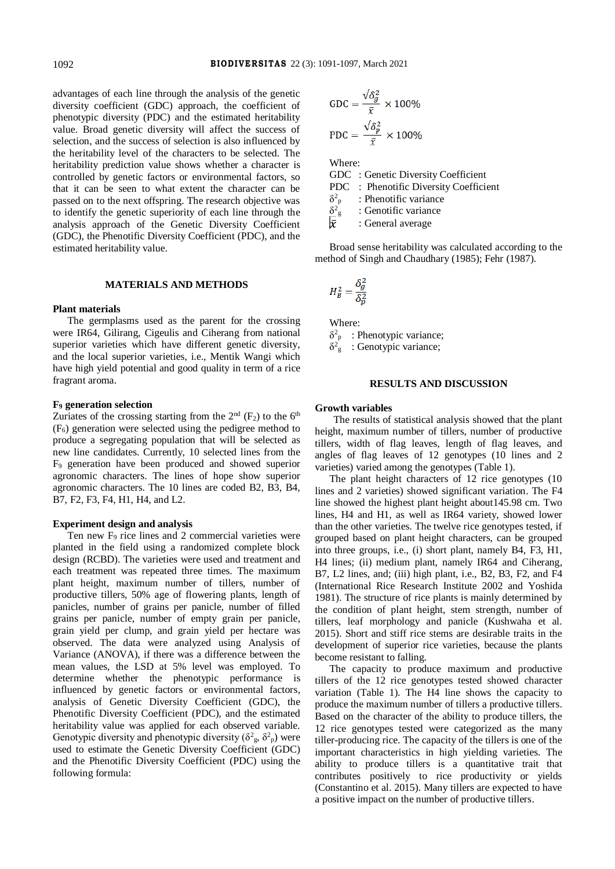advantages of each line through the analysis of the genetic diversity coefficient (GDC) approach, the coefficient of phenotypic diversity (PDC) and the estimated heritability value. Broad genetic diversity will affect the success of selection, and the success of selection is also influenced by the heritability level of the characters to be selected. The heritability prediction value shows whether a character is controlled by genetic factors or environmental factors, so that it can be seen to what extent the character can be passed on to the next offspring. The research objective was to identify the genetic superiority of each line through the analysis approach of the Genetic Diversity Coefficient (GDC), the Phenotific Diversity Coefficient (PDC), and the estimated heritability value.

#### **MATERIALS AND METHODS**

#### **Plant materials**

The germplasms used as the parent for the crossing were IR64, Gilirang, Cigeulis and Ciherang from national superior varieties which have different genetic diversity, and the local superior varieties, i.e., Mentik Wangi which have high yield potential and good quality in term of a rice fragrant aroma.

#### **F<sup>9</sup> generation selection**

Zuriates of the crossing starting from the  $2<sup>nd</sup>$  (F<sub>2</sub>) to the 6<sup>th</sup> (F6) generation were selected using the pedigree method to produce a segregating population that will be selected as new line candidates. Currently, 10 selected lines from the F<sup>9</sup> generation have been produced and showed superior agronomic characters. The lines of hope show superior agronomic characters. The 10 lines are coded B2, B3, B4, B7, F2, F3, F4, H1, H4, and L2.

### **Experiment design and analysis**

Ten new F<sup>9</sup> rice lines and 2 commercial varieties were planted in the field using a randomized complete block design (RCBD). The varieties were used and treatment and each treatment was repeated three times. The maximum plant height, maximum number of tillers, number of productive tillers, 50% age of flowering plants, length of panicles, number of grains per panicle, number of filled grains per panicle, number of empty grain per panicle, grain yield per clump, and grain yield per hectare was observed. The data were analyzed using Analysis of Variance (ANOVA), if there was a difference between the mean values, the LSD at 5% level was employed. To determine whether the phenotypic performance is influenced by genetic factors or environmental factors, analysis of Genetic Diversity Coefficient (GDC), the Phenotific Diversity Coefficient (PDC), and the estimated heritability value was applied for each observed variable. Genotypic diversity and phenotypic diversity ( $\delta^2$ <sub>g</sub>,  $\delta^2$ <sub>p</sub>) were used to estimate the Genetic Diversity Coefficient (GDC) and the Phenotific Diversity Coefficient (PDC) using the following formula:

$$
GDC = \frac{\sqrt{\delta_g^2}}{\bar{x}} \times 100\%
$$

$$
PDC = \frac{\sqrt{\delta_p^2}}{\bar{x}} \times 100\%
$$

Where:

GDC : Genetic Diversity Coefficient PDC : Phenotific Diversity Coefficient  $\delta^2$ : Phenotific variance  $\delta^2$ <sup>g</sup>: Genotific variance  $|\bar{x}|$ : General average

Broad sense heritability was calculated according to the method of Singh and Chaudhary (1985); Fehr (1987).

$$
H_B^2 = \frac{\delta_g^2}{\delta_p^2}
$$

Where:  $\delta^2$ <sub>p</sub> : Phenotypic variance;  $\delta^2$ <sub>g</sub>: Genotypic variance;

#### **RESULTS AND DISCUSSION**

#### **Growth variables**

The results of statistical analysis showed that the plant height, maximum number of tillers, number of productive tillers, width of flag leaves, length of flag leaves, and angles of flag leaves of 12 genotypes (10 lines and 2 varieties) varied among the genotypes (Table 1).

The plant height characters of 12 rice genotypes (10 lines and 2 varieties) showed significant variation. The F4 line showed the highest plant height about145.98 cm. Two lines, H4 and H1, as well as IR64 variety, showed lower than the other varieties. The twelve rice genotypes tested, if grouped based on plant height characters, can be grouped into three groups, i.e., (i) short plant, namely B4, F3, H1, H4 lines; (ii) medium plant, namely IR64 and Ciherang, B7, L2 lines, and; (iii) high plant, i.e., B2, B3, F2, and F4 (International Rice Research Institute 2002 and Yoshida 1981). The structure of rice plants is mainly determined by the condition of plant height, stem strength, number of tillers, leaf morphology and panicle (Kushwaha et al. 2015). Short and stiff rice stems are desirable traits in the development of superior rice varieties, because the plants become resistant to falling.

The capacity to produce maximum and productive tillers of the 12 rice genotypes tested showed character variation (Table 1). The H4 line shows the capacity to produce the maximum number of tillers a productive tillers. Based on the character of the ability to produce tillers, the 12 rice genotypes tested were categorized as the many tiller-producing rice. The capacity of the tillers is one of the important characteristics in high yielding varieties. The ability to produce tillers is a quantitative trait that contributes positively to rice productivity or yields (Constantino et al. 2015). Many tillers are expected to have a positive impact on the number of productive tillers.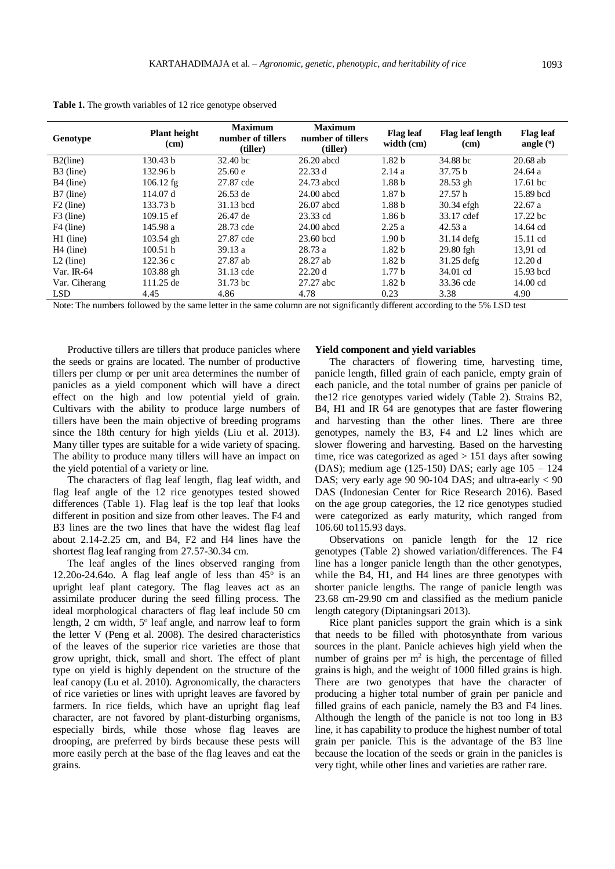| Genotype              | <b>Plant</b> height<br>(cm) | <b>Maximum</b><br>number of tillers<br>(tiller) | <b>Maximum</b><br>number of tillers<br>(tiller) | <b>Flag leaf</b><br>width (cm) | <b>Flag leaf length</b><br>(cm) | <b>Flag leaf</b><br>angle $(°)$ |
|-----------------------|-----------------------------|-------------------------------------------------|-------------------------------------------------|--------------------------------|---------------------------------|---------------------------------|
| $B2$ (line)           | 130.43 <sub>b</sub>         | $32.40 \text{ bc}$                              | $26.20$ abcd                                    | 1.82 <sub>b</sub>              | 34.88 bc                        | $20.68$ ab                      |
| B3 (line)             | 132.96 <sub>b</sub>         | 25.60 e                                         | 22.33 d                                         | 2.14a                          | 37.75 <sub>b</sub>              | 24.64a                          |
| B <sub>4</sub> (line) | $106.12$ fg                 | 27.87 cde                                       | 24.73 abcd                                      | 1.88 <sub>b</sub>              | $28.53$ gh                      | 17.61 bc                        |
| $B7$ (line)           | 114.07 d                    | $26.53$ de                                      | $24.00$ abcd                                    | 1.87 <sub>b</sub>              | 27.57h                          | 15.89 bcd                       |
| $F2$ (line)           | 133.73 <sub>b</sub>         | 31.13 bcd                                       | $26.07$ abcd                                    | 1.88 <sub>b</sub>              | 30.34 efgh                      | 22.67a                          |
| $F3$ (line)           | $109.15 \text{ ef}$         | 26.47 de                                        | 23.33 cd                                        | 1.86 <sub>b</sub>              | 33.17 cdef                      | 17.22 <sub>bc</sub>             |
| $F4$ (line)           | 145.98 a                    | 28.73 cde                                       | $24.00$ abcd                                    | 2.25a                          | 42.53a                          | 14.64 cd                        |
| $H1$ (line)           | $103.54$ gh                 | 27.87 cde                                       | $23.60$ bcd                                     | 1.90 <sub>b</sub>              | $31.14$ defg                    | 15.11 cd                        |
| $H4$ (line)           | 100.51 h                    | 39.13a                                          | 28.73a                                          | 1.82 <sub>b</sub>              | 29.80 fgh                       | 13.91 cd                        |
| $L2$ (line)           | 122.36c                     | 27.87 ab                                        | $28.27$ ab                                      | 1.82 <sub>b</sub>              | $31.25$ defg                    | 12.20 d                         |
| Var. IR-64            | 103.88 gh                   | 31.13 cde                                       | 22.20 d                                         | 1.77 <sub>b</sub>              | 34.01 cd                        | 15.93 bcd                       |
| Var. Ciherang         | 111.25 de                   | 31.73 bc                                        | 27.27 abc                                       | 1.82 <sub>b</sub>              | 33.36 cde                       | 14.00 cd                        |
| LSD.                  | 4.45                        | 4.86                                            | 4.78                                            | 0.23                           | 3.38                            | 4.90                            |

**Table 1.** The growth variables of 12 rice genotype observed

Note: The numbers followed by the same letter in the same column are not significantly different according to the 5% LSD test

Productive tillers are tillers that produce panicles where the seeds or grains are located. The number of productive tillers per clump or per unit area determines the number of panicles as a yield component which will have a direct effect on the high and low potential yield of grain. Cultivars with the ability to produce large numbers of tillers have been the main objective of breeding programs since the 18th century for high yields (Liu et al. 2013). Many tiller types are suitable for a wide variety of spacing. The ability to produce many tillers will have an impact on the yield potential of a variety or line.

The characters of flag leaf length, flag leaf width, and flag leaf angle of the 12 rice genotypes tested showed differences (Table 1). Flag leaf is the top leaf that looks different in position and size from other leaves. The F4 and B3 lines are the two lines that have the widest flag leaf about 2.14-2.25 cm, and B4, F2 and H4 lines have the shortest flag leaf ranging from 27.57-30.34 cm.

The leaf angles of the lines observed ranging from 12.20o-24.64o. A flag leaf angle of less than  $45^{\circ}$  is an upright leaf plant category. The flag leaves act as an assimilate producer during the seed filling process. The ideal morphological characters of flag leaf include 50 cm length, 2 cm width, 5° leaf angle, and narrow leaf to form the letter V (Peng et al. 2008). The desired characteristics of the leaves of the superior rice varieties are those that grow upright, thick, small and short. The effect of plant type on yield is highly dependent on the structure of the leaf canopy (Lu et al. 2010). Agronomically, the characters of rice varieties or lines with upright leaves are favored by farmers. In rice fields, which have an upright flag leaf character, are not favored by plant-disturbing organisms, especially birds, while those whose flag leaves are drooping, are preferred by birds because these pests will more easily perch at the base of the flag leaves and eat the grains.

### **Yield component and yield variables**

The characters of flowering time, harvesting time, panicle length, filled grain of each panicle, empty grain of each panicle, and the total number of grains per panicle of the12 rice genotypes varied widely (Table 2). Strains B2, B4, H1 and IR 64 are genotypes that are faster flowering and harvesting than the other lines. There are three genotypes, namely the B3, F4 and L2 lines which are slower flowering and harvesting. Based on the harvesting time, rice was categorized as aged > 151 days after sowing (DAS); medium age (125-150) DAS; early age 105 – 124 DAS; very early age 90 90-104 DAS; and ultra-early < 90 DAS (Indonesian Center for Rice Research 2016). Based on the age group categories, the 12 rice genotypes studied were categorized as early maturity, which ranged from 106.60 to115.93 days.

Observations on panicle length for the 12 rice genotypes (Table 2) showed variation/differences. The F4 line has a longer panicle length than the other genotypes, while the B4, H1, and H4 lines are three genotypes with shorter panicle lengths. The range of panicle length was 23.68 cm-29.90 cm and classified as the medium panicle length category (Diptaningsari 2013).

Rice plant panicles support the grain which is a sink that needs to be filled with photosynthate from various sources in the plant. Panicle achieves high yield when the number of grains per  $m<sup>2</sup>$  is high, the percentage of filled grains is high, and the weight of 1000 filled grains is high. There are two genotypes that have the character of producing a higher total number of grain per panicle and filled grains of each panicle, namely the B3 and F4 lines. Although the length of the panicle is not too long in B3 line, it has capability to produce the highest number of total grain per panicle. This is the advantage of the B3 line because the location of the seeds or grain in the panicles is very tight, while other lines and varieties are rather rare.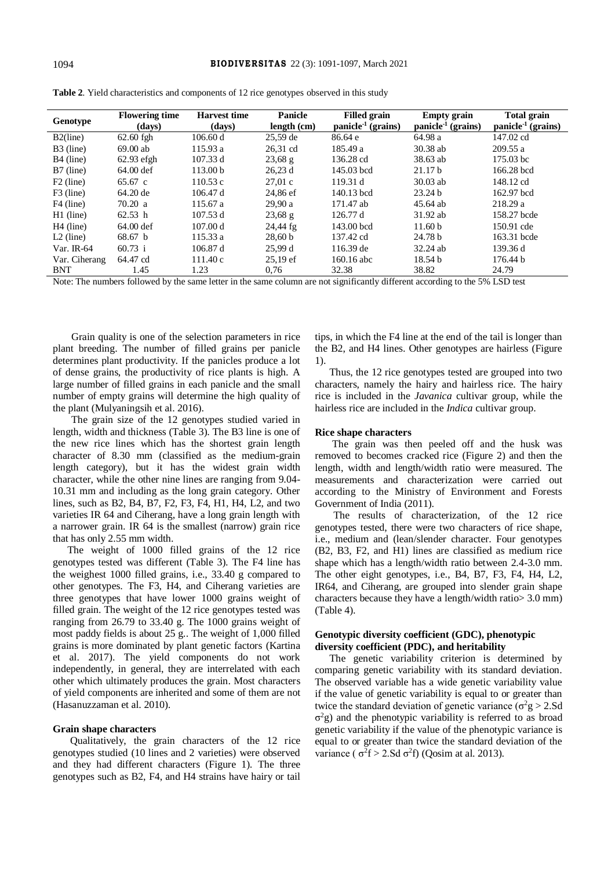| Genotype              | <b>Flowering time</b><br>(days) | <b>Harvest time</b><br>(days) | <b>Panicle</b><br>length (cm) | <b>Filled grain</b><br>$panicle-1 (grains)$ | <b>Empty</b> grain<br>$panicle-1 (grains)$ | <b>Total grain</b><br>$panicle-1 (grains)$ |
|-----------------------|---------------------------------|-------------------------------|-------------------------------|---------------------------------------------|--------------------------------------------|--------------------------------------------|
| $B2$ (line)           | $62.60$ fgh                     | 106.60 d                      | 25,59 de                      | 86.64 e                                     | 64.98 a                                    | 147.02 cd                                  |
| B3 (line)             | $69.00$ ab                      | 115.93a                       | 26,31 cd                      | 185.49 a                                    | $30.38$ ab                                 | 209.55a                                    |
| B <sub>4</sub> (line) | $62.93$ efgh                    | 107.33 d                      | $23,68 \text{ g}$             | 136.28 cd                                   | 38.63 ab                                   | 175.03 bc                                  |
| $B7$ (line)           | 64.00 def                       | 113.00 <sub>b</sub>           | 26,23d                        | 145.03 bcd                                  | 21.17 <sub>b</sub>                         | 166.28 bcd                                 |
| $F2$ (line)           | $65.67$ c                       | 110.53c                       | 27.01c                        | 119.31 d                                    | $30.03$ ab                                 | 148.12 cd                                  |
| F3 (line)             | 64.20 de                        | 106.47 d                      | 24,86 ef                      | 140.13 bcd                                  | 23.24 b                                    | 162.97 bcd                                 |
| F4 (line)             | 70.20 a                         | 115.67 a                      | 29.90a                        | 171.47 ab                                   | 45.64 ab                                   | 218.29a                                    |
| $H1$ (line)           | 62.53 h                         | 107.53 d                      | $23,68 \text{ g}$             | 126.77 d                                    | 31.92 ab                                   | 158.27 bcde                                |
| $H4$ (line)           | $64.00$ def                     | 107.00 d                      | $24,44$ fg                    | $143.00$ bcd                                | 11.60 <sub>b</sub>                         | 150.91 cde                                 |
| $L2$ (line)           | 68.67 <sub>b</sub>              | 115.33 a                      | 28,60 b                       | 137.42 cd                                   | 24.78 b                                    | 163.31 bcde                                |
| Var. IR- $64$         | 60.73 i                         | 106.87 d                      | 25.99 d                       | $116.39 \text{ de}$                         | $32.24$ ab                                 | 139.36 d                                   |
| Var. Ciherang         | 64.47 cd                        | 111.40c                       | $25.19 \text{ ef}$            | 160.16 abc                                  | 18.54 <sub>b</sub>                         | 176.44 b                                   |
| <b>BNT</b>            | 1.45                            | 1.23                          | 0,76                          | 32.38                                       | 38.82                                      | 24.79                                      |

|  | Table 2. Yield characteristics and components of 12 rice genotypes observed in this study |  |
|--|-------------------------------------------------------------------------------------------|--|
|  |                                                                                           |  |

Note: The numbers followed by the same letter in the same column are not significantly different according to the 5% LSD test

Grain quality is one of the selection parameters in rice plant breeding. The number of filled grains per panicle determines plant productivity. If the panicles produce a lot of dense grains, the productivity of rice plants is high. A large number of filled grains in each panicle and the small number of empty grains will determine the high quality of the plant (Mulyaningsih et al. 2016).

The grain size of the 12 genotypes studied varied in length, width and thickness (Table 3). The B3 line is one of the new rice lines which has the shortest grain length character of 8.30 mm (classified as the medium-grain length category), but it has the widest grain width character, while the other nine lines are ranging from 9.04- 10.31 mm and including as the long grain category. Other lines, such as B2, B4, B7, F2, F3, F4, H1, H4, L2, and two varieties IR 64 and Ciherang, have a long grain length with a narrower grain. IR 64 is the smallest (narrow) grain rice that has only 2.55 mm width.

The weight of 1000 filled grains of the 12 rice genotypes tested was different (Table 3). The F4 line has the weighest 1000 filled grains, i.e., 33.40 g compared to other genotypes. The F3, H4, and Ciherang varieties are three genotypes that have lower 1000 grains weight of filled grain. The weight of the 12 rice genotypes tested was ranging from 26.79 to 33.40 g. The 1000 grains weight of most paddy fields is about 25 g.. The weight of 1,000 filled grains is more dominated by plant genetic factors (Kartina et al. 2017). The yield components do not work independently, in general, they are interrelated with each other which ultimately produces the grain. Most characters of yield components are inherited and some of them are not (Hasanuzzaman et al. 2010).

#### **Grain shape characters**

Qualitatively, the grain characters of the 12 rice genotypes studied (10 lines and 2 varieties) were observed and they had different characters (Figure 1). The three genotypes such as B2, F4, and H4 strains have hairy or tail tips, in which the F4 line at the end of the tail is longer than the B2, and H4 lines. Other genotypes are hairless (Figure 1).

Thus, the 12 rice genotypes tested are grouped into two characters, namely the hairy and hairless rice. The hairy rice is included in the *Javanica* cultivar group, while the hairless rice are included in the *Indica* cultivar group.

#### **Rice shape characters**

The grain was then peeled off and the husk was removed to becomes cracked rice (Figure 2) and then the length, width and length/width ratio were measured. The measurements and characterization were carried out according to the Ministry of Environment and Forests Government of India (2011).

The results of characterization, of the 12 rice genotypes tested, there were two characters of rice shape, i.e., medium and (lean/slender character. Four genotypes (B2, B3, F2, and H1) lines are classified as medium rice shape which has a length/width ratio between 2.4-3.0 mm. The other eight genotypes, i.e., B4, B7, F3, F4, H4, L2, IR64, and Ciherang, are grouped into slender grain shape characters because they have a length/width ratio> 3.0 mm) (Table 4).

# **Genotypic diversity coefficient (GDC), phenotypic diversity coefficient (PDC), and heritability**

The genetic variability criterion is determined by comparing genetic variability with its standard deviation. The observed variable has a wide genetic variability value if the value of genetic variability is equal to or greater than twice the standard deviation of genetic variance ( $\sigma^2$ g > 2.Sd  $\sigma^2$ g) and the phenotypic variability is referred to as broad genetic variability if the value of the phenotypic variance is equal to or greater than twice the standard deviation of the variance ( $\sigma^2 f > 2$ .Sd  $\sigma^2 f$ ) (Qosim at al. 2013).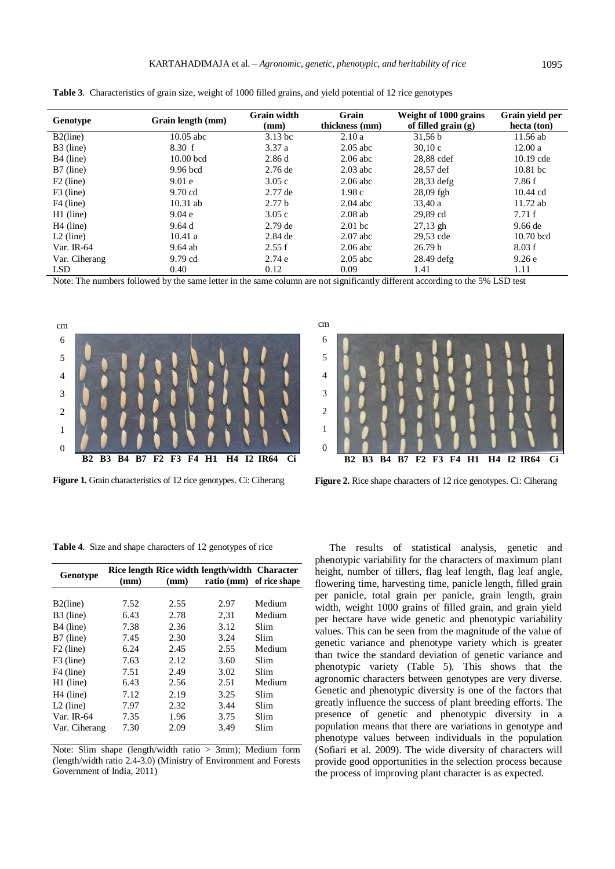| Genotype              | Grain length (mm) | <b>Grain width</b><br>(mm) | Grain<br>thickness (mm) | Weight of 1000 grains<br>of filled grain $(g)$ | Grain vield per<br>hecta (ton) |
|-----------------------|-------------------|----------------------------|-------------------------|------------------------------------------------|--------------------------------|
| $B2$ (line)           | $10.05$ abc       | $3.13$ bc                  | 2.10a                   | 31,56 b                                        | 11.56 ab                       |
| B3 (line)             | 8.30 f            | 3.37a                      | $2.05$ abc              | 30.10c                                         | 12.00a                         |
| B <sub>4</sub> (line) | $10.00$ bcd       | 2.86d                      | $2.06$ abc              | 28,88 cdef                                     | $10.19$ cde                    |
| B7 (line)             | 9.96 bcd          | $2.76$ de                  | $2.03$ abc              | 28.57 def                                      | $10.81$ bc                     |
| $F2$ (line)           | 9.01 <sub>e</sub> | 3.05c                      | $2.06$ abc              | $28,33$ defg                                   | 7.86 f                         |
| $F3$ (line)           | $9.70$ cd         | $2.77$ de                  | 1.98c                   | $28,09$ fgh                                    | $10.44$ cd                     |
| F4 (line)             | $10.31$ ab        | 2.77 <sub>b</sub>          | $2.04$ abc              | 33.40a                                         | $11.72$ ab                     |
| $H1$ (line)           | 9.04e             | 3.05c                      | $2.08$ ab               | 29.89 cd                                       | 7.71f                          |
| $H4$ (line)           | 9.64d             | $2.79$ de                  | $2.01$ bc               | $27,13$ gh                                     | $9.66$ de                      |
| $L2$ (line)           | 10.41a            | $2.84$ de                  | $2.07$ abc              | 29,53 cde                                      | $10.70$ bcd                    |
| Var. IR- $64$         | $9.64$ ab         | 2.55 f                     | $2.06$ abc              | 26.79h                                         | 8.03 f                         |
| Var. Ciherang         | 9.79 cd           | 2.74e                      | $2.05$ abc              | $28.49$ defg                                   | 9.26e                          |
| <b>LSD</b>            | 0.40              | 0.12                       | 0.09                    | 1.41                                           | 1.11                           |

**Table 3**. Characteristics of grain size, weight of 1000 filled grains, and yield potential of 12 rice genotypes

Note: The numbers followed by the same letter in the same column are not significantly different according to the 5% LSD test



**Figure 1.** Grain characteristics of 12 rice genotypes. Ci: Ciherang

**Table 4**. Size and shape characters of 12 genotypes of rice

| Genotype              | (mm) | (mm) | Rice length Rice width length/width Character<br>ratio (mm) of rice shape |        |
|-----------------------|------|------|---------------------------------------------------------------------------|--------|
|                       |      |      |                                                                           |        |
| $B2$ (line)           | 7.52 | 2.55 | 2.97                                                                      | Medium |
| B3 (line)             | 6.43 | 2.78 | 2.31                                                                      | Medium |
| B <sub>4</sub> (line) | 7.38 | 2.36 | 3.12                                                                      | Slim   |
| B7 (line)             | 7.45 | 2.30 | 3.24                                                                      | Slim   |
| $F2$ (line)           | 6.24 | 2.45 | 2.55                                                                      | Medium |
| F3 (line)             | 7.63 | 2.12 | 3.60                                                                      | Slim   |
| F4 (line)             | 7.51 | 2.49 | 3.02                                                                      | Slim   |
| H1 (line)             | 6.43 | 2.56 | 2.51                                                                      | Medium |
| $H4$ (line)           | 7.12 | 2.19 | 3.25                                                                      | Slim   |
| $L2$ (line)           | 7.97 | 2.32 | 3.44                                                                      | Slim   |
| Var. $IR-64$          | 7.35 | 1.96 | 3.75                                                                      | Slim   |
| Var. Ciherang         | 7.30 | 2.09 | 3.49                                                                      | Slim   |

Note: Slim shape (length/width ratio > 3mm); Medium form (length/width ratio 2.4-3.0) (Ministry of Environment and Forests Government of India, 2011)



**Figure 2.** Rice shape characters of 12 rice genotypes. Ci: Ciherang

The results of statistical analysis, genetic and phenotypic variability for the characters of maximum plant height, number of tillers, flag leaf length, flag leaf angle, flowering time, harvesting time, panicle length, filled grain per panicle, total grain per panicle, grain length, grain width, weight 1000 grains of filled grain, and grain yield per hectare have wide genetic and phenotypic variability values. This can be seen from the magnitude of the value of genetic variance and phenotype variety which is greater than twice the standard deviation of genetic variance and phenotypic variety (Table 5). This shows that the agronomic characters between genotypes are very diverse. Genetic and phenotypic diversity is one of the factors that greatly influence the success of plant breeding efforts. The presence of genetic and phenotypic diversity in a population means that there are variations in genotype and phenotype values between individuals in the population (Sofiari et al. 2009). The wide diversity of characters will provide good opportunities in the selection process because the process of improving plant character is as expected.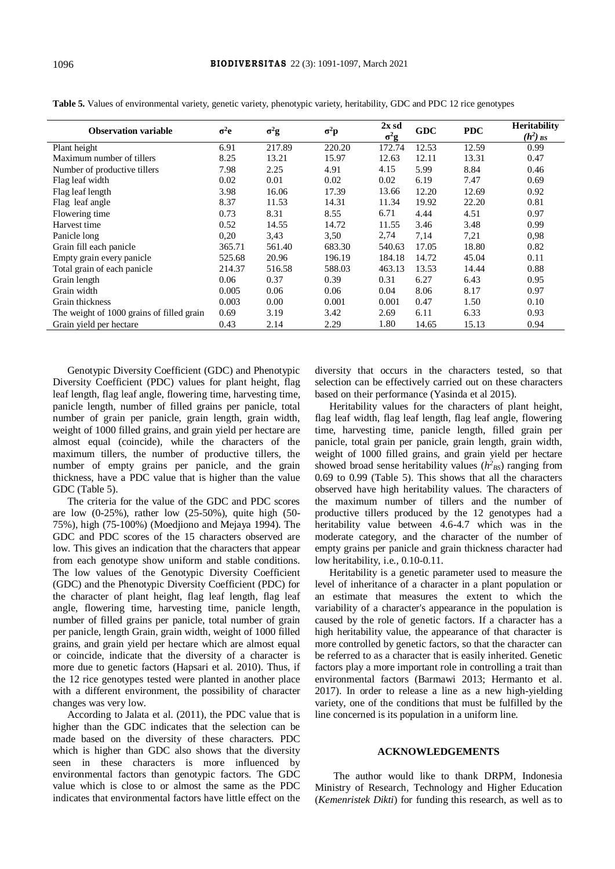| <b>Observation variable</b>               | $\sigma^2$ e | $\sigma^2$ g | $\sigma^2 \mathbf{p}$ | $2x$ sd<br>$\sigma^2$ g | <b>GDC</b> | <b>PDC</b> | <b>Heritability</b><br>$(h^2)$ BS |
|-------------------------------------------|--------------|--------------|-----------------------|-------------------------|------------|------------|-----------------------------------|
| Plant height                              | 6.91         | 217.89       | 220.20                | 172.74                  | 12.53      | 12.59      | 0.99                              |
| Maximum number of tillers                 | 8.25         | 13.21        | 15.97                 | 12.63                   | 12.11      | 13.31      | 0.47                              |
| Number of productive tillers              | 7.98         | 2.25         | 4.91                  | 4.15                    | 5.99       | 8.84       | 0.46                              |
| Flag leaf width                           | 0.02         | 0.01         | 0.02                  | 0.02                    | 6.19       | 7.47       | 0.69                              |
| Flag leaf length                          | 3.98         | 16.06        | 17.39                 | 13.66                   | 12.20      | 12.69      | 0.92                              |
| Flag leaf angle                           | 8.37         | 11.53        | 14.31                 | 11.34                   | 19.92      | 22.20      | 0.81                              |
| Flowering time                            | 0.73         | 8.31         | 8.55                  | 6.71                    | 4.44       | 4.51       | 0.97                              |
| Harvest time                              | 0.52         | 14.55        | 14.72                 | 11.55                   | 3.46       | 3.48       | 0.99                              |
| Panicle long                              | 0.20         | 3,43         | 3.50                  | 2,74                    | 7,14       | 7,21       | 0.98                              |
| Grain fill each panicle                   | 365.71       | 561.40       | 683.30                | 540.63                  | 17.05      | 18.80      | 0.82                              |
| Empty grain every panicle                 | 525.68       | 20.96        | 196.19                | 184.18                  | 14.72      | 45.04      | 0.11                              |
| Total grain of each panicle               | 214.37       | 516.58       | 588.03                | 463.13                  | 13.53      | 14.44      | 0.88                              |
| Grain length                              | 0.06         | 0.37         | 0.39                  | 0.31                    | 6.27       | 6.43       | 0.95                              |
| Grain width                               | 0.005        | 0.06         | 0.06                  | 0.04                    | 8.06       | 8.17       | 0.97                              |
| Grain thickness                           | 0.003        | 0.00         | 0.001                 | 0.001                   | 0.47       | 1.50       | 0.10                              |
| The weight of 1000 grains of filled grain | 0.69         | 3.19         | 3.42                  | 2.69                    | 6.11       | 6.33       | 0.93                              |
| Grain yield per hectare                   | 0.43         | 2.14         | 2.29                  | 1.80                    | 14.65      | 15.13      | 0.94                              |

**Table 5.** Values of environmental variety, genetic variety, phenotypic variety, heritability, GDC and PDC 12 rice genotypes

Genotypic Diversity Coefficient (GDC) and Phenotypic Diversity Coefficient (PDC) values for plant height, flag leaf length, flag leaf angle, flowering time, harvesting time, panicle length, number of filled grains per panicle, total number of grain per panicle, grain length, grain width, weight of 1000 filled grains, and grain yield per hectare are almost equal (coincide), while the characters of the maximum tillers, the number of productive tillers, the number of empty grains per panicle, and the grain thickness, have a PDC value that is higher than the value GDC (Table 5).

The criteria for the value of the GDC and PDC scores are low (0-25%), rather low (25-50%), quite high (50- 75%), high (75-100%) (Moedjiono and Mejaya 1994). The GDC and PDC scores of the 15 characters observed are low. This gives an indication that the characters that appear from each genotype show uniform and stable conditions. The low values of the Genotypic Diversity Coefficient (GDC) and the Phenotypic Diversity Coefficient (PDC) for the character of plant height, flag leaf length, flag leaf angle, flowering time, harvesting time, panicle length, number of filled grains per panicle, total number of grain per panicle, length Grain, grain width, weight of 1000 filled grains, and grain yield per hectare which are almost equal or coincide, indicate that the diversity of a character is more due to genetic factors (Hapsari et al. 2010). Thus, if the 12 rice genotypes tested were planted in another place with a different environment, the possibility of character changes was very low.

According to Jalata et al. (2011), the PDC value that is higher than the GDC indicates that the selection can be made based on the diversity of these characters. PDC which is higher than GDC also shows that the diversity seen in these characters is more influenced by environmental factors than genotypic factors. The GDC value which is close to or almost the same as the PDC indicates that environmental factors have little effect on the diversity that occurs in the characters tested, so that selection can be effectively carried out on these characters based on their performance (Yasinda et al 2015).

Heritability values for the characters of plant height, flag leaf width, flag leaf length, flag leaf angle, flowering time, harvesting time, panicle length, filled grain per panicle, total grain per panicle, grain length, grain width, weight of 1000 filled grains, and grain yield per hectare showed broad sense heritability values  $(h<sup>2</sup><sub>BS</sub>)$  ranging from 0.69 to 0.99 (Table 5). This shows that all the characters observed have high heritability values. The characters of the maximum number of tillers and the number of productive tillers produced by the 12 genotypes had a heritability value between 4.6-4.7 which was in the moderate category, and the character of the number of empty grains per panicle and grain thickness character had low heritability, i.e., 0.10-0.11.

Heritability is a genetic parameter used to measure the level of inheritance of a character in a plant population or an estimate that measures the extent to which the variability of a character's appearance in the population is caused by the role of genetic factors. If a character has a high heritability value, the appearance of that character is more controlled by genetic factors, so that the character can be referred to as a character that is easily inherited. Genetic factors play a more important role in controlling a trait than environmental factors (Barmawi 2013; Hermanto et al. 2017). In order to release a line as a new high-yielding variety, one of the conditions that must be fulfilled by the line concerned is its population in a uniform line.

### **ACKNOWLEDGEMENTS**

The author would like to thank DRPM, Indonesia Ministry of Research, Technology and Higher Education (*Kemenristek Dikti*) for funding this research, as well as to